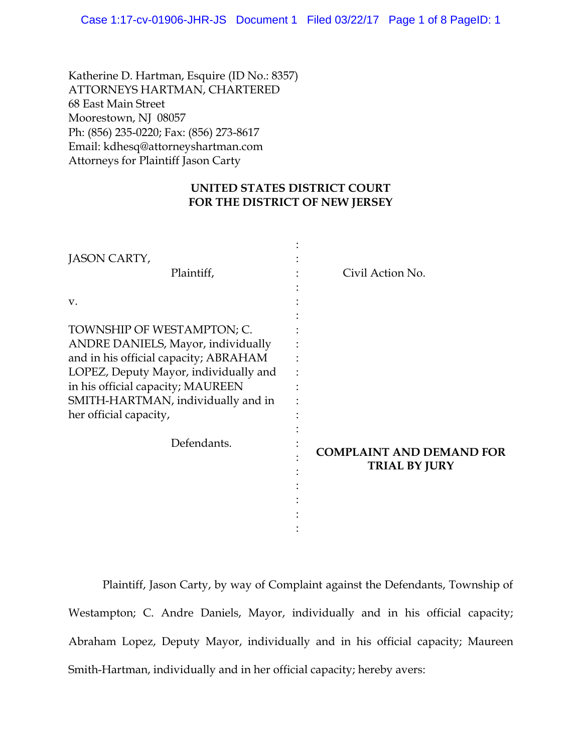Katherine D. Hartman, Esquire (ID No.: 8357) ATTORNEYS HARTMAN, CHARTERED 68 East Main Street Moorestown, NJ 08057 Ph: (856) 235-0220; Fax: (856) 273-8617 Email: kdhesq@attorneyshartman.com Attorneys for Plaintiff Jason Carty

# **UNITED STATES DISTRICT COURT FOR THE DISTRICT OF NEW JERSEY**

| JASON CARTY,<br>Plaintiff,                                                                                                                                                                                                                                     | Civil Action No.                                        |
|----------------------------------------------------------------------------------------------------------------------------------------------------------------------------------------------------------------------------------------------------------------|---------------------------------------------------------|
| V.                                                                                                                                                                                                                                                             |                                                         |
| TOWNSHIP OF WESTAMPTON; C.<br><b>ANDRE DANIELS, Mayor, individually</b><br>and in his official capacity; ABRAHAM<br>LOPEZ, Deputy Mayor, individually and<br>in his official capacity; MAUREEN<br>SMITH-HARTMAN, individually and in<br>her official capacity, |                                                         |
| Defendants.                                                                                                                                                                                                                                                    | <b>COMPLAINT AND DEMAND FOR</b><br><b>TRIAL BY JURY</b> |

Plaintiff, Jason Carty, by way of Complaint against the Defendants, Township of Westampton; C. Andre Daniels, Mayor, individually and in his official capacity; Abraham Lopez, Deputy Mayor, individually and in his official capacity; Maureen Smith-Hartman, individually and in her official capacity; hereby avers: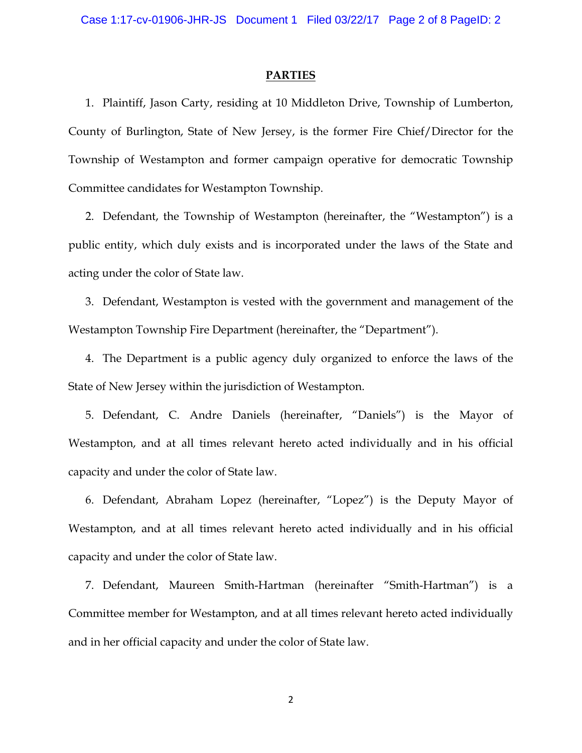#### **PARTIES**

1. Plaintiff, Jason Carty, residing at 10 Middleton Drive, Township of Lumberton, County of Burlington, State of New Jersey, is the former Fire Chief/Director for the Township of Westampton and former campaign operative for democratic Township Committee candidates for Westampton Township.

2. Defendant, the Township of Westampton (hereinafter, the "Westampton") is a public entity, which duly exists and is incorporated under the laws of the State and acting under the color of State law.

3. Defendant, Westampton is vested with the government and management of the Westampton Township Fire Department (hereinafter, the "Department").

4. The Department is a public agency duly organized to enforce the laws of the State of New Jersey within the jurisdiction of Westampton.

5. Defendant, C. Andre Daniels (hereinafter, "Daniels") is the Mayor of Westampton, and at all times relevant hereto acted individually and in his official capacity and under the color of State law.

6. Defendant, Abraham Lopez (hereinafter, "Lopez") is the Deputy Mayor of Westampton, and at all times relevant hereto acted individually and in his official capacity and under the color of State law.

7. Defendant, Maureen Smith-Hartman (hereinafter "Smith-Hartman") is a Committee member for Westampton, and at all times relevant hereto acted individually and in her official capacity and under the color of State law.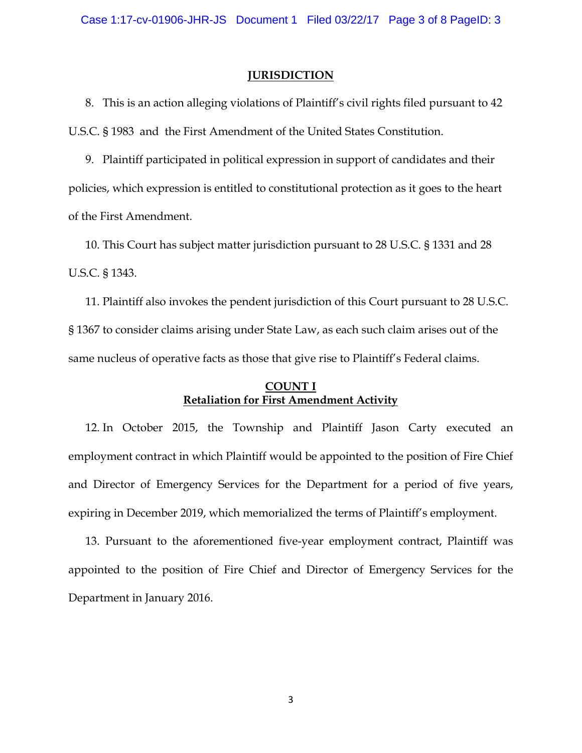#### **JURISDICTION**

8. This is an action alleging violations of Plaintiff's civil rights filed pursuant to 42 U.S.C. § 1983 and the First Amendment of the United States Constitution.

9. Plaintiff participated in political expression in support of candidates and their policies, which expression is entitled to constitutional protection as it goes to the heart of the First Amendment.

10. This Court has subject matter jurisdiction pursuant to 28 U.S.C. § 1331 and 28 U.S.C. § 1343.

11. Plaintiff also invokes the pendent jurisdiction of this Court pursuant to 28 U.S.C. § 1367 to consider claims arising under State Law, as each such claim arises out of the same nucleus of operative facts as those that give rise to Plaintiff's Federal claims.

## **COUNT I Retaliation for First Amendment Activity**

12. In October 2015, the Township and Plaintiff Jason Carty executed an employment contract in which Plaintiff would be appointed to the position of Fire Chief and Director of Emergency Services for the Department for a period of five years, expiring in December 2019, which memorialized the terms of Plaintiff's employment.

13. Pursuant to the aforementioned five-year employment contract, Plaintiff was appointed to the position of Fire Chief and Director of Emergency Services for the Department in January 2016.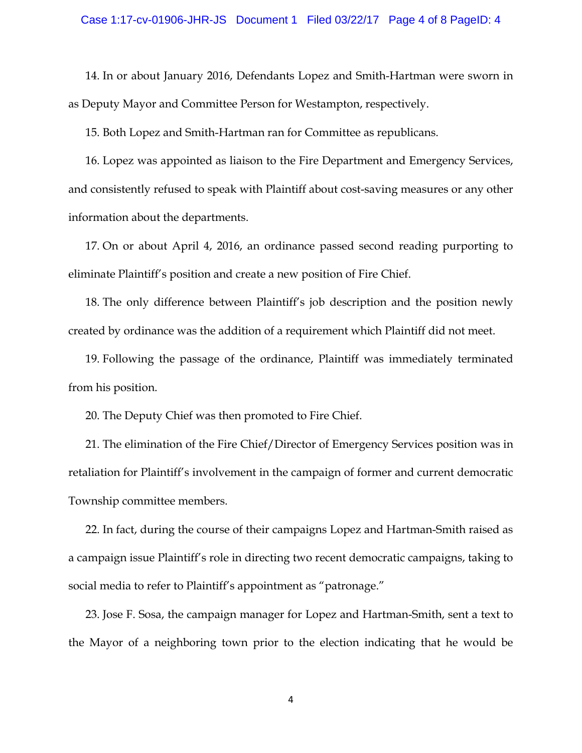14. In or about January 2016, Defendants Lopez and Smith-Hartman were sworn in as Deputy Mayor and Committee Person for Westampton, respectively.

15. Both Lopez and Smith-Hartman ran for Committee as republicans.

16. Lopez was appointed as liaison to the Fire Department and Emergency Services, and consistently refused to speak with Plaintiff about cost-saving measures or any other information about the departments.

17. On or about April 4, 2016, an ordinance passed second reading purporting to eliminate Plaintiff's position and create a new position of Fire Chief.

18. The only difference between Plaintiff's job description and the position newly created by ordinance was the addition of a requirement which Plaintiff did not meet.

19. Following the passage of the ordinance, Plaintiff was immediately terminated from his position.

20. The Deputy Chief was then promoted to Fire Chief.

21. The elimination of the Fire Chief/Director of Emergency Services position was in retaliation for Plaintiff's involvement in the campaign of former and current democratic Township committee members.

22. In fact, during the course of their campaigns Lopez and Hartman-Smith raised as a campaign issue Plaintiff's role in directing two recent democratic campaigns, taking to social media to refer to Plaintiff's appointment as "patronage."

23. Jose F. Sosa, the campaign manager for Lopez and Hartman-Smith, sent a text to the Mayor of a neighboring town prior to the election indicating that he would be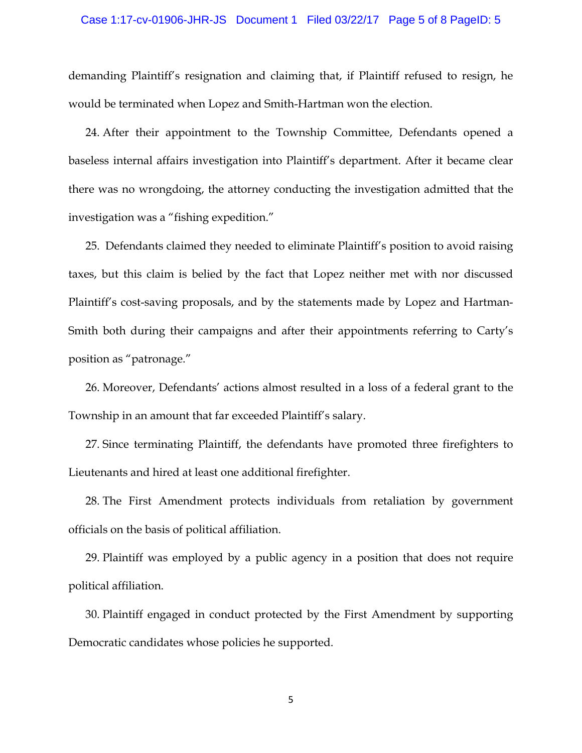#### Case 1:17-cv-01906-JHR-JS Document 1 Filed 03/22/17 Page 5 of 8 PageID: 5

demanding Plaintiff's resignation and claiming that, if Plaintiff refused to resign, he would be terminated when Lopez and Smith-Hartman won the election.

24. After their appointment to the Township Committee, Defendants opened a baseless internal affairs investigation into Plaintiff's department. After it became clear there was no wrongdoing, the attorney conducting the investigation admitted that the investigation was a "fishing expedition."

25. Defendants claimed they needed to eliminate Plaintiff's position to avoid raising taxes, but this claim is belied by the fact that Lopez neither met with nor discussed Plaintiff's cost-saving proposals, and by the statements made by Lopez and Hartman-Smith both during their campaigns and after their appointments referring to Carty's position as "patronage."

26. Moreover, Defendants' actions almost resulted in a loss of a federal grant to the Township in an amount that far exceeded Plaintiff's salary.

27. Since terminating Plaintiff, the defendants have promoted three firefighters to Lieutenants and hired at least one additional firefighter.

28. The First Amendment protects individuals from retaliation by government officials on the basis of political affiliation.

29. Plaintiff was employed by a public agency in a position that does not require political affiliation.

30. Plaintiff engaged in conduct protected by the First Amendment by supporting Democratic candidates whose policies he supported.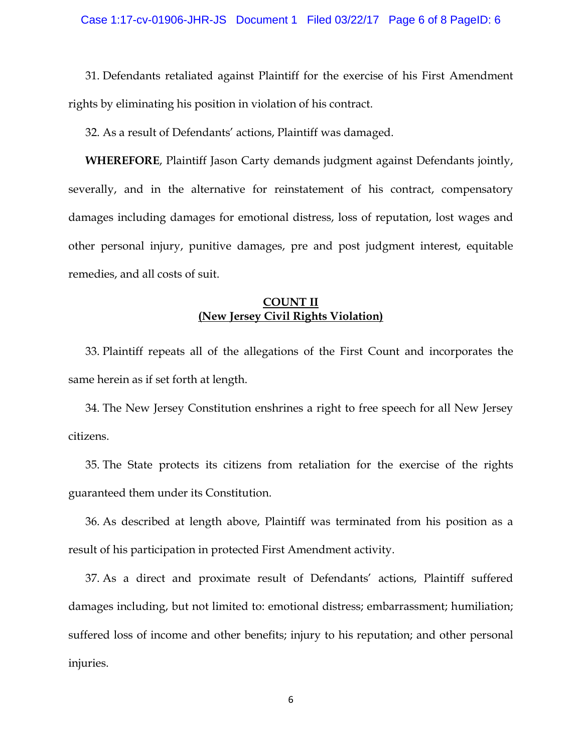31. Defendants retaliated against Plaintiff for the exercise of his First Amendment rights by eliminating his position in violation of his contract.

32. As a result of Defendants' actions, Plaintiff was damaged.

**WHEREFORE**, Plaintiff Jason Carty demands judgment against Defendants jointly, severally, and in the alternative for reinstatement of his contract, compensatory damages including damages for emotional distress, loss of reputation, lost wages and other personal injury, punitive damages, pre and post judgment interest, equitable remedies, and all costs of suit.

# **COUNT II (New Jersey Civil Rights Violation)**

33. Plaintiff repeats all of the allegations of the First Count and incorporates the same herein as if set forth at length.

34. The New Jersey Constitution enshrines a right to free speech for all New Jersey citizens.

35. The State protects its citizens from retaliation for the exercise of the rights guaranteed them under its Constitution.

36. As described at length above, Plaintiff was terminated from his position as a result of his participation in protected First Amendment activity.

37. As a direct and proximate result of Defendants' actions, Plaintiff suffered damages including, but not limited to: emotional distress; embarrassment; humiliation; suffered loss of income and other benefits; injury to his reputation; and other personal injuries.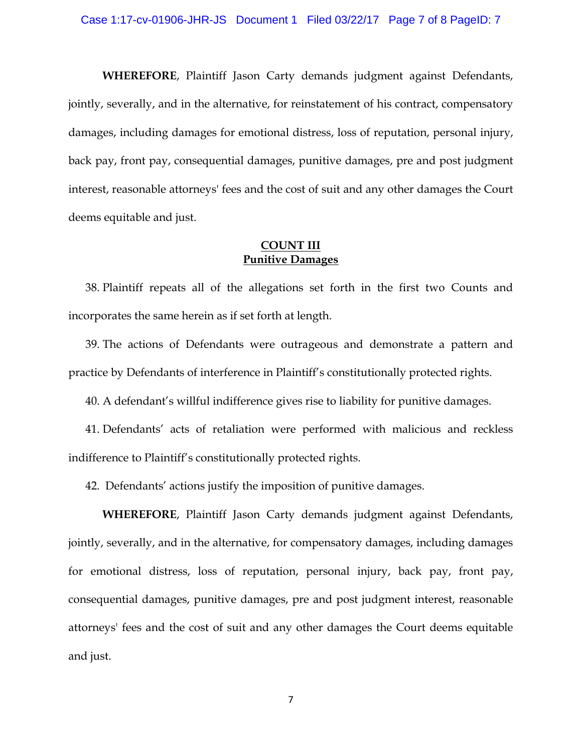**WHEREFORE**, Plaintiff Jason Carty demands judgment against Defendants, jointly, severally, and in the alternative, for reinstatement of his contract, compensatory damages, including damages for emotional distress, loss of reputation, personal injury, back pay, front pay, consequential damages, punitive damages, pre and post judgment interest, reasonable attorneys' fees and the cost of suit and any other damages the Court deems equitable and just.

# **COUNT III Punitive Damages**

38. Plaintiff repeats all of the allegations set forth in the first two Counts and incorporates the same herein as if set forth at length.

39. The actions of Defendants were outrageous and demonstrate a pattern and practice by Defendants of interference in Plaintiff's constitutionally protected rights.

40. A defendant's willful indifference gives rise to liability for punitive damages.

41. Defendants' acts of retaliation were performed with malicious and reckless indifference to Plaintiff's constitutionally protected rights.

42. Defendants' actions justify the imposition of punitive damages.

**WHEREFORE**, Plaintiff Jason Carty demands judgment against Defendants, jointly, severally, and in the alternative, for compensatory damages, including damages for emotional distress, loss of reputation, personal injury, back pay, front pay, consequential damages, punitive damages, pre and post judgment interest, reasonable attorneys' fees and the cost of suit and any other damages the Court deems equitable and just.